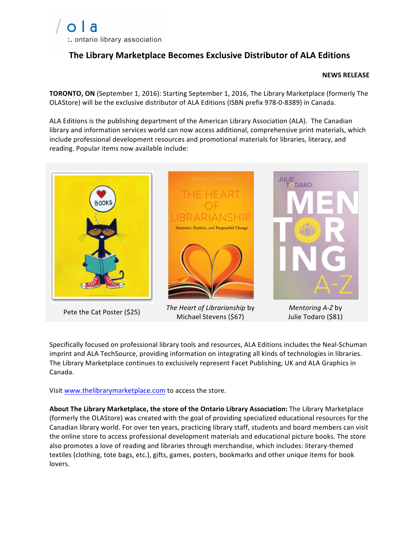## **The Library Marketplace Becomes Exclusive Distributor of ALA Editions**

## **NEWS RELEASE**

**TORONTO, ON** (September 1, 2016): Starting September 1, 2016, The Library Marketplace (formerly The OLAStore) will be the exclusive distributor of ALA Editions (ISBN prefix 978-0-8389) in Canada.

ALA Editions is the publishing department of the American Library Association (ALA). The Canadian library and information services world can now access additional, comprehensive print materials, which include professional development resources and promotional materials for libraries, literacy, and reading. Popular items now available include:



*Pete the Cat Poster* (\$25) *The Heart of Librarianship* by Michael Stevens (\$67)

*Mentoring A-Z* by Julie Todaro (\$81)

Specifically focused on professional library tools and resources, ALA Editions includes the Neal-Schuman imprint and ALA TechSource, providing information on integrating all kinds of technologies in libraries. The Library Marketplace continues to exclusively represent Facet Publishing, UK and ALA Graphics in Canada. 

Visit www.thelibrarymarketplace.com to access the store.

About The Library Marketplace, the store of the Ontario Library Association: The Library Marketplace (formerly the OLAStore) was created with the goal of providing specialized educational resources for the Canadian library world. For over ten years, practicing library staff, students and board members can visit the online store to access professional development materials and educational picture books. The store also promotes a love of reading and libraries through merchandise, which includes: literary-themed textiles (clothing, tote bags, etc.), gifts, games, posters, bookmarks and other unique items for book lovers.